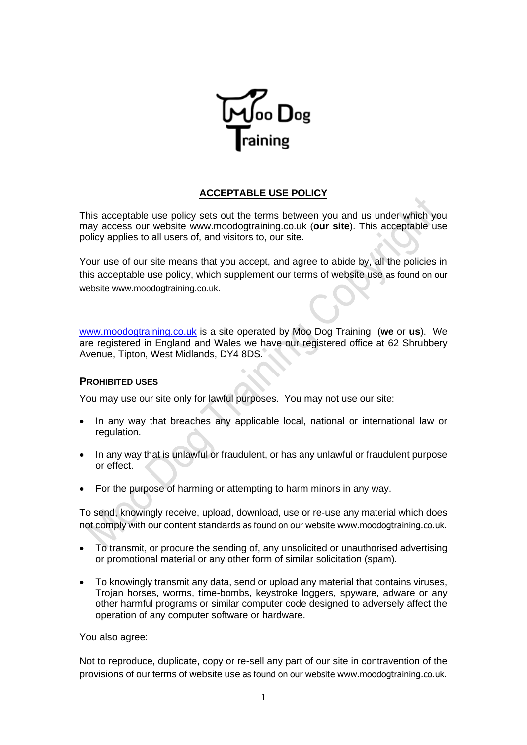

# **ACCEPTABLE USE POLICY**

This acceptable use policy sets out the terms between you and us under which you may access our website www.moodogtraining.co.uk (**our site**). This acceptable use policy applies to all users of, and visitors to, our site.

Your use of our site means that you accept, and agree to abide by, all the policies in this acceptable use policy, which supplement our terms of website use as found on our website www.moodogtraining.co.uk.

[www.moodogtraining.co.uk](http://www.moodogtraining.co.uk/) is a site operated by Moo Dog Training (**we** or **us**). We are registered in England and Wales we have our registered office at 62 Shrubbery Avenue, Tipton, West Midlands, DY4 8DS.

## **PROHIBITED USES**

You may use our site only for lawful purposes. You may not use our site:

- In any way that breaches any applicable local, national or international law or regulation.
- In any way that is unlawful or fraudulent, or has any unlawful or fraudulent purpose or effect.
- For the purpose of harming or attempting to harm minors in any way.

To send, knowingly receive, upload, download, use or re-use any material which does not comply with our content standards as found on our website www.moodogtraining.co.uk.

- To transmit, or procure the sending of, any unsolicited or unauthorised advertising or promotional material or any other form of similar solicitation (spam).
- To knowingly transmit any data, send or upload any material that contains viruses, Trojan horses, worms, time-bombs, keystroke loggers, spyware, adware or any other harmful programs or similar computer code designed to adversely affect the operation of any computer software or hardware.

You also agree:

Not to reproduce, duplicate, copy or re-sell any part of our site in contravention of the provisions of our terms of website use as found on our website www.moodogtraining.co.uk.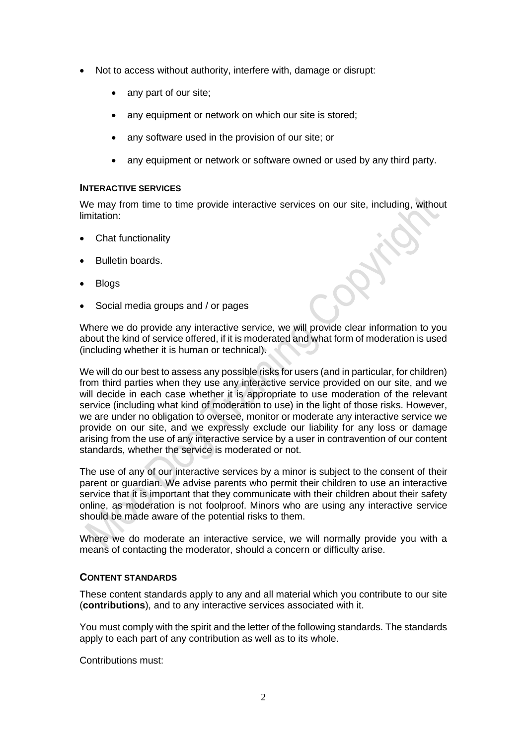- Not to access without authority, interfere with, damage or disrupt:
	- any part of our site;
	- any equipment or network on which our site is stored;
	- any software used in the provision of our site; or
	- any equipment or network or software owned or used by any third party.

### **INTERACTIVE SERVICES**

We may from time to time provide interactive services on our site, including, without limitation:

- Chat functionality
- Bulletin boards.
- Blogs
- Social media groups and / or pages

Where we do provide any interactive service, we will provide clear information to you about the kind of service offered, if it is moderated and what form of moderation is used (including whether it is human or technical).

We will do our best to assess any possible risks for users (and in particular, for children) from third parties when they use any interactive service provided on our site, and we will decide in each case whether it is appropriate to use moderation of the relevant service (including what kind of moderation to use) in the light of those risks. However, we are under no obligation to oversee, monitor or moderate any interactive service we provide on our site, and we expressly exclude our liability for any loss or damage arising from the use of any interactive service by a user in contravention of our content standards, whether the service is moderated or not.

The use of any of our interactive services by a minor is subject to the consent of their parent or guardian. We advise parents who permit their children to use an interactive service that it is important that they communicate with their children about their safety online, as moderation is not foolproof. Minors who are using any interactive service should be made aware of the potential risks to them.

Where we do moderate an interactive service, we will normally provide you with a means of contacting the moderator, should a concern or difficulty arise.

## **CONTENT STANDARDS**

These content standards apply to any and all material which you contribute to our site (**contributions**), and to any interactive services associated with it.

You must comply with the spirit and the letter of the following standards. The standards apply to each part of any contribution as well as to its whole.

Contributions must: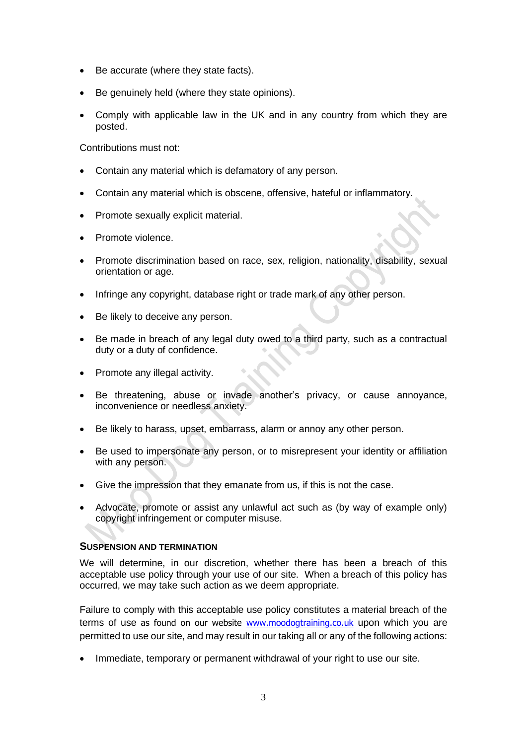- Be accurate (where they state facts).
- Be genuinely held (where they state opinions).
- Comply with applicable law in the UK and in any country from which they are posted.

Contributions must not:

- Contain any material which is defamatory of any person.
- Contain any material which is obscene, offensive, hateful or inflammatory.
- Promote sexually explicit material.
- Promote violence.
- Promote discrimination based on race, sex, religion, nationality, disability, sexual orientation or age.
- Infringe any copyright, database right or trade mark of any other person.
- Be likely to deceive any person.
- Be made in breach of any legal duty owed to a third party, such as a contractual duty or a duty of confidence.
- Promote any illegal activity.
- Be threatening, abuse or invade another's privacy, or cause annoyance, inconvenience or needless anxiety.
- Be likely to harass, upset, embarrass, alarm or annoy any other person.
- Be used to impersonate any person, or to misrepresent your identity or affiliation with any person.
- Give the impression that they emanate from us, if this is not the case.
- Advocate, promote or assist any unlawful act such as (by way of example only) copyright infringement or computer misuse.

## **SUSPENSION AND TERMINATION**

We will determine, in our discretion, whether there has been a breach of this acceptable use policy through your use of our site. When a breach of this policy has occurred, we may take such action as we deem appropriate.

Failure to comply with this acceptable use policy constitutes a material breach of the terms of use as found on our website [www.moodogtraining.co.uk](http://www.moodogtraining.co.uk/) upon which you are permitted to use our site, and may result in our taking all or any of the following actions:

• Immediate, temporary or permanent withdrawal of your right to use our site.